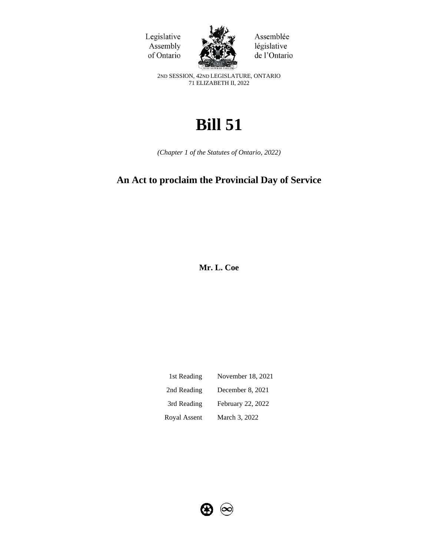



Assemblée législative de l'Ontario

2ND SESSION, 42ND LEGISLATURE, ONTARIO 71 ELIZABETH II, 2022

# **Bill 51**

*(Chapter 1 of the Statutes of Ontario, 2022)*

## **An Act to proclaim the Provincial Day of Service**

**Mr. L. Coe**

| 1st Reading  | November 18, 2021 |
|--------------|-------------------|
| 2nd Reading  | December 8, 2021  |
| 3rd Reading  | February 22, 2022 |
| Royal Assent | March 3, 2022     |